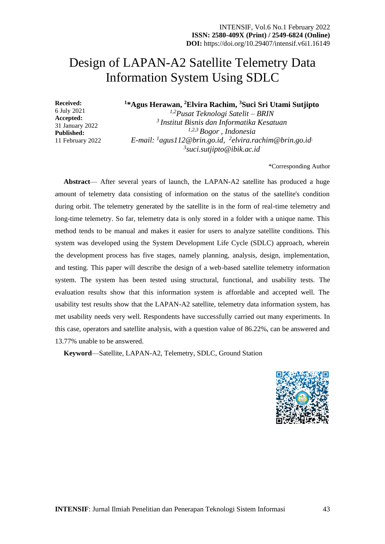# Design of LAPAN-A2 Satellite Telemetry Data Information System Using SDLC

**1 \*Agus Herawan, <sup>2</sup>Elvira Rachim, <sup>3</sup>Suci Sri Utami Sutjipto**

6 July 2021 **Accepted:** 31 January 2022 **Published:** 11 February 2022

**Received:**

*1,2Pusat Teknologi Satelit – BRIN <sup>3</sup>Institut Bisnis dan Informatika Kesatuan 1,2,3 Bogor , Indonesia E-mail: <sup>1</sup>agus112@brin.go.id, 2 [elvira.rachim@brin.go.id](mailto:2elvira.rachim@brin.go.id), 3 suci.sutjipto@ibik.ac.id*

\*Corresponding Author

**Abstract**— After several years of launch, the LAPAN-A2 satellite has produced a huge amount of telemetry data consisting of information on the status of the satellite's condition during orbit. The telemetry generated by the satellite is in the form of real-time telemetry and long-time telemetry. So far, telemetry data is only stored in a folder with a unique name. This method tends to be manual and makes it easier for users to analyze satellite conditions. This system was developed using the System Development Life Cycle (SDLC) approach, wherein the development process has five stages, namely planning, analysis, design, implementation, and testing. This paper will describe the design of a web-based satellite telemetry information system. The system has been tested using structural, functional, and usability tests. The evaluation results show that this information system is affordable and accepted well. The usability test results show that the LAPAN-A2 satellite, telemetry data information system, has met usability needs very well. Respondents have successfully carried out many experiments. In this case, operators and satellite analysis, with a question value of 86.22%, can be answered and 13.77% unable to be answered.

**Keyword**—Satellite, LAPAN-A2, Telemetry, SDLC, Ground Station

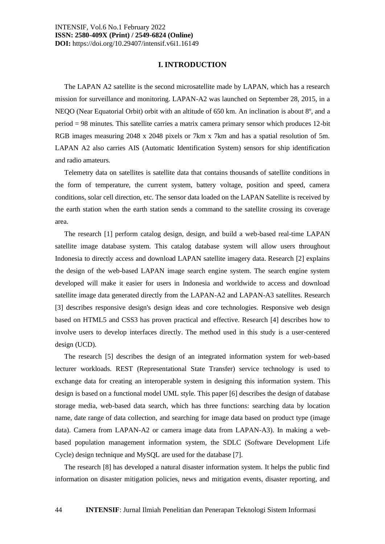#### **I. INTRODUCTION**

The LAPAN A2 satellite is the second microsatellite made by LAPAN, which has a research mission for surveillance and monitoring. LAPAN-A2 was launched on September 28, 2015, in a NEQO (Near Equatorial Orbit) orbit with an altitude of 650 km. An inclination is about 8º, and a period = 98 minutes. This satellite carries a matrix camera primary sensor which produces 12-bit RGB images measuring 2048 x 2048 pixels or 7km x 7km and has a spatial resolution of 5m. LAPAN A2 also carries AIS (Automatic Identification System) sensors for ship identification and radio amateurs.

Telemetry data on satellites is satellite data that contains thousands of satellite conditions in the form of temperature, the current system, battery voltage, position and speed, camera conditions, solar cell direction, etc. The sensor data loaded on the LAPAN Satellite is received by the earth station when the earth station sends a command to the satellite crossing its coverage area.

The research [1] perform catalog design, design, and build a web-based real-time LAPAN satellite image database system. This catalog database system will allow users throughout Indonesia to directly access and download LAPAN satellite imagery data. Research [2] explains the design of the web-based LAPAN image search engine system. The search engine system developed will make it easier for users in Indonesia and worldwide to access and download satellite image data generated directly from the LAPAN-A2 and LAPAN-A3 satellites. Research [3] describes responsive design's design ideas and core technologies. Responsive web design based on HTML5 and CSS3 has proven practical and effective. Research [4] describes how to involve users to develop interfaces directly. The method used in this study is a user-centered design (UCD).

The research [5] describes the design of an integrated information system for web-based lecturer workloads. REST (Representational State Transfer) service technology is used to exchange data for creating an interoperable system in designing this information system. This design is based on a functional model UML style. This paper [6] describes the design of database storage media, web-based data search, which has three functions: searching data by location name, date range of data collection, and searching for image data based on product type (image data). Camera from LAPAN-A2 or camera image data from LAPAN-A3). In making a webbased population management information system, the SDLC (Software Development Life Cycle) design technique and MySQL are used for the database [7].

The research [8] has developed a natural disaster information system. It helps the public find information on disaster mitigation policies, news and mitigation events, disaster reporting, and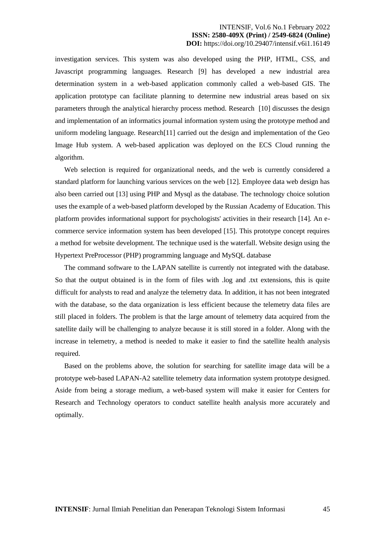investigation services. This system was also developed using the PHP, HTML, CSS, and Javascript programming languages. Research [9] has developed a new industrial area determination system in a web-based application commonly called a web-based GIS. The application prototype can facilitate planning to determine new industrial areas based on six parameters through the analytical hierarchy process method. Research [10] discusses the design and implementation of an informatics journal information system using the prototype method and uniform modeling language. Research[11] carried out the design and implementation of the Geo Image Hub system. A web-based application was deployed on the ECS Cloud running the algorithm.

Web selection is required for organizational needs, and the web is currently considered a standard platform for launching various services on the web [12]. Employee data web design has also been carried out [13] using PHP and Mysql as the database. The technology choice solution uses the example of a web-based platform developed by the Russian Academy of Education. This platform provides informational support for psychologists' activities in their research [14]. An ecommerce service information system has been developed [15]. This prototype concept requires a method for website development. The technique used is the waterfall. Website design using the Hypertext PreProcessor (PHP) programming language and MySQL database

The command software to the LAPAN satellite is currently not integrated with the database. So that the output obtained is in the form of files with .log and .txt extensions, this is quite difficult for analysts to read and analyze the telemetry data. In addition, it has not been integrated with the database, so the data organization is less efficient because the telemetry data files are still placed in folders. The problem is that the large amount of telemetry data acquired from the satellite daily will be challenging to analyze because it is still stored in a folder. Along with the increase in telemetry, a method is needed to make it easier to find the satellite health analysis required.

Based on the problems above, the solution for searching for satellite image data will be a prototype web-based LAPAN-A2 satellite telemetry data information system prototype designed. Aside from being a storage medium, a web-based system will make it easier for Centers for Research and Technology operators to conduct satellite health analysis more accurately and optimally.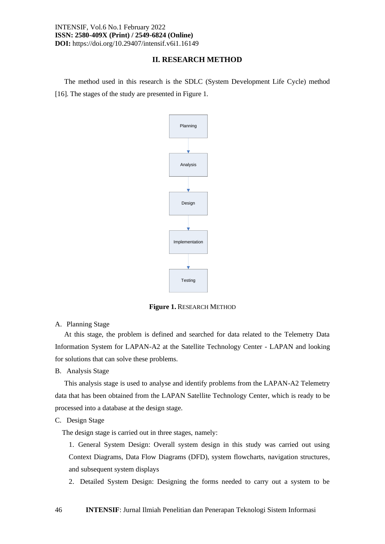## **II. RESEARCH METHOD**

The method used in this research is the SDLC (System Development Life Cycle) method [16]. The stages of the study are presented in Figure 1.



**Figure 1.** RESEARCH METHOD

## A. Planning Stage

At this stage, the problem is defined and searched for data related to the Telemetry Data Information System for LAPAN-A2 at the Satellite Technology Center - LAPAN and looking for solutions that can solve these problems.

B. Analysis Stage

This analysis stage is used to analyse and identify problems from the LAPAN-A2 Telemetry data that has been obtained from the LAPAN Satellite Technology Center, which is ready to be processed into a database at the design stage.

C. Design Stage

The design stage is carried out in three stages, namely:

1. General System Design: Overall system design in this study was carried out using Context Diagrams, Data Flow Diagrams (DFD), system flowcharts, navigation structures, and subsequent system displays

2. Detailed System Design: Designing the forms needed to carry out a system to be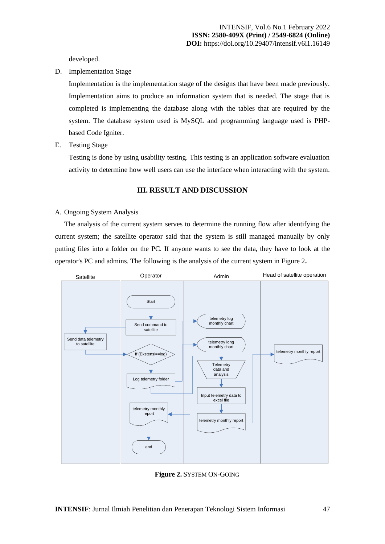developed.

D. Implementation Stage

Implementation is the implementation stage of the designs that have been made previously. Implementation aims to produce an information system that is needed. The stage that is completed is implementing the database along with the tables that are required by the system. The database system used is MySQL and programming language used is PHPbased Code Igniter.

E. Testing Stage

Testing is done by using usability testing. This testing is an application software evaluation activity to determine how well users can use the interface when interacting with the system.

## **III. RESULT AND DISCUSSION**

#### A. Ongoing System Analysis

The analysis of the current system serves to determine the running flow after identifying the current system; the satellite operator said that the system is still managed manually by only putting files into a folder on the PC. If anyone wants to see the data, they have to look at the operator's PC and admins. The following is the analysis of the current system in Figure 2**.**



**Figure 2.** SYSTEM ON-GOING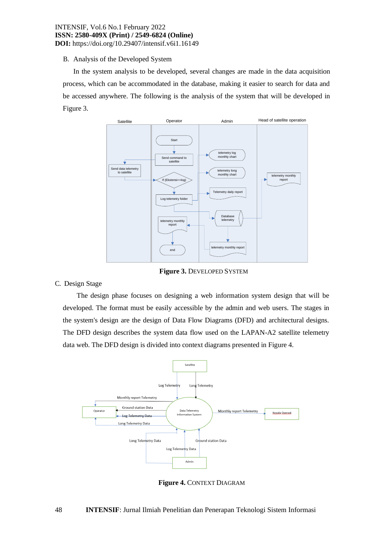# B. Analysis of the Developed System

In the system analysis to be developed, several changes are made in the data acquisition process, which can be accommodated in the database, making it easier to search for data and be accessed anywhere. The following is the analysis of the system that will be developed in Figure 3.



**Figure 3.** DEVELOPED SYSTEM

# C. Design Stage

The design phase focuses on designing a web information system design that will be developed. The format must be easily accessible by the admin and web users. The stages in the system's design are the design of Data Flow Diagrams (DFD) and architectural designs. The DFD design describes the system data flow used on the LAPAN-A2 satellite telemetry data web. The DFD design is divided into context diagrams presented in Figure 4.



**Figure 4.** CONTEXT DIAGRAM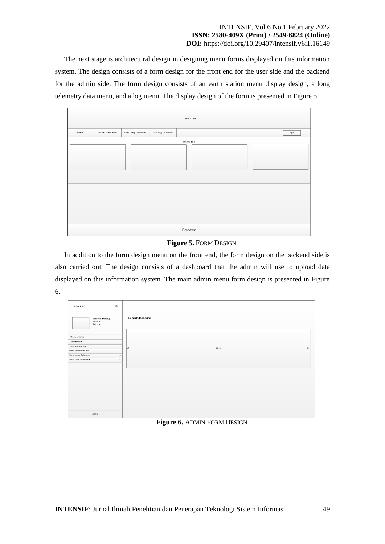The next stage is architectural design in designing menu forms displayed on this information system. The design consists of a form design for the front end for the user side and the backend for the admin side. The form design consists of an earth station menu display design, a long telemetry data menu, and a log menu. The display design of the form is presented in Figure 5.

| Header |                   |                     |                    |            |  |  |       |
|--------|-------------------|---------------------|--------------------|------------|--|--|-------|
| Home   | Data Stasiun Bumi | Data Long Telemetri | Data Log Telemetri |            |  |  | Login |
|        |                   |                     |                    | Thumbnails |  |  |       |
|        |                   |                     |                    |            |  |  |       |
|        |                   |                     |                    |            |  |  |       |
|        |                   |                     |                    |            |  |  |       |
|        |                   |                     |                    |            |  |  |       |
|        | Footer            |                     |                    |            |  |  |       |

**Figure 5.** FORM DESIGN

In addition to the form design menu on the front end, the form design on the backend side is also carried out. The design consists of a dashboard that the admin will use to upload data displayed on this information system. The main admin menu form design is presented in Figure 6.

| $\pmb{\times}$<br>LAPAN-A2              |                          |
|-----------------------------------------|--------------------------|
| <b>Selamat Datang</b><br>Admin<br>Admin | Dashboard                |
| Menu Utama                              |                          |
| Dashboard                               |                          |
| Data Pengguna                           | $\,$<br>Slide<br>$\prec$ |
| Data Stasiun Bumi                       |                          |
| Data Long Telemetri<br>$\rightarrow$    |                          |
| Data Log Telemetri<br>$\geq$            |                          |
|                                         |                          |
|                                         |                          |
|                                         |                          |
|                                         |                          |
|                                         |                          |
|                                         |                          |
| Logout                                  |                          |

**Figure 6.** ADMIN FORM DESIGN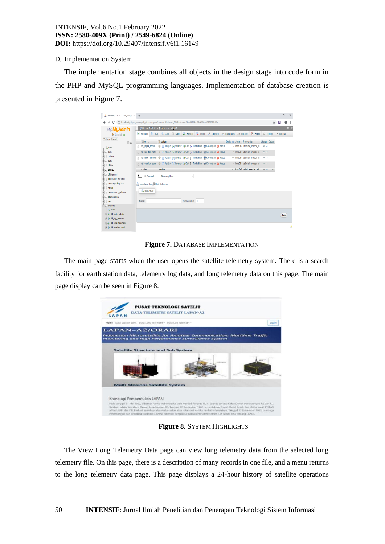## D. Implementation System

The implementation stage combines all objects in the design stage into code form in the PHP and MySQL programming languages. Implementation of database creation is presented in Figure 7.

| 6 localhost / 127.0.0.1 / wd_004   p   x   +                                                                                                                                                                                                                                                               |                                                                                                                                                                                                                                                                                                                                                                                                                                                                                                                                                                                                                                                                                                                                                                                                                | $\overline{\phantom{0}}$ | σ        | X  |
|------------------------------------------------------------------------------------------------------------------------------------------------------------------------------------------------------------------------------------------------------------------------------------------------------------|----------------------------------------------------------------------------------------------------------------------------------------------------------------------------------------------------------------------------------------------------------------------------------------------------------------------------------------------------------------------------------------------------------------------------------------------------------------------------------------------------------------------------------------------------------------------------------------------------------------------------------------------------------------------------------------------------------------------------------------------------------------------------------------------------------------|--------------------------|----------|----|
| e<br>$\leftarrow$                                                                                                                                                                                                                                                                                          | @ localhost/phpmyadmin/db structure.php?server=1&db=wd 004&token=c7bdd0ff29ad194650eb50908057a03e                                                                                                                                                                                                                                                                                                                                                                                                                                                                                                                                                                                                                                                                                                              | B<br>☆                   | $\theta$ | ÷  |
| phpMyAdmin<br>0.9096<br>Terbaru Favorit                                                                                                                                                                                                                                                                    | Server: 127.0.0.1 » Basis data: wd.004<br>in Struktur G SQL Q Cari G Kueri E Ekspor W Impor & Operasi all Hak Akses & Routine G Event 36 Trigger V Lainnya                                                                                                                                                                                                                                                                                                                                                                                                                                                                                                                                                                                                                                                     |                          |          | 春天 |
| $\boxminus$ $\omega$<br>$-6$ New<br>$  \cdot  $ bola<br>ALI cobain<br><b>BLO</b> data<br><b>BLO</b> dbtele<br><b>FLA</b> dbtele2<br><b>ELR</b> dbtelemetri                                                                                                                                                 | Tindakan<br>Ukuran Beban<br>Tabel a<br>Baris @ Jenis Penyortiran<br>Hapus Carl Jelajahi 1 Struktur Q Cari 3 Tambahkan C Kosongkan @ Hapus<br>2 InnoDB utf8mb4 unicode ci<br>16 KB<br>tbl login admin<br>田<br>tbl log telemetri de El Jelajahi i Struktur de Cari ji Tambahkan El Kosongkan @ Hapus<br><sup>8</sup> InnoDB utf8mb4 unicode ci<br>16 KB<br>tbl_long_telemetri<br>Till_long_telemetri<br>Till_long_telemetri<br>Till_long_telemetri<br>Till_long_telemetri<br>Till_long_telemetri<br>Till_long_telemetri<br>Till_long_telemetri<br>Till_lo<br>189 InnoDB utf8mb4 unicode ci<br>88 83<br>tbl stasiun bumi er El Jelajahi i Struktur e Cari je Tambahkan E Kosongkan @ Hapus<br>4 InnoDB utf8mb4 unicode ci<br>16 KB<br>$\Box$<br>123 InnoDB latin1 swedish ci<br>4 tabel<br>Jumlah<br>128 KB<br>0B |                          |          |    |
| RE information schema<br>(RLI) malasngoding_kios<br><b>ELI mysql</b><br>Building performance_schema<br><b>Really</b> phpmyadmin<br><b>FLO</b> test<br>$F = wd$ 004<br>$\Box$ New<br>Filip thi login admin<br><b>The toll log telemetri</b><br><b>Fig. to long telemetri</b><br><b>FLV</b> tol stasiun bumi | <sup>1</sup> Check all<br>٠<br>Dengan pilihan:<br>A Tampilan cetak 品 Data dictionary<br><b>Buat tabel</b><br>Jumlah kolom: 4<br>Nama:                                                                                                                                                                                                                                                                                                                                                                                                                                                                                                                                                                                                                                                                          |                          | Kirim    | ۲  |

**Figure 7.** DATABASE IMPLEMENTATION

The main page starts when the user opens the satellite telemetry system. There is a search facility for earth station data, telemetry log data, and long telemetry data on this page. The main page display can be seen in Figure 8.



**Figure 8.** SYSTEM HIGHLIGHTS

The View Long Telemetry Data page can view long telemetry data from the selected long telemetry file. On this page, there is a description of many records in one file, and a menu returns to the long telemetry data page. This page displays a 24-hour history of satellite operations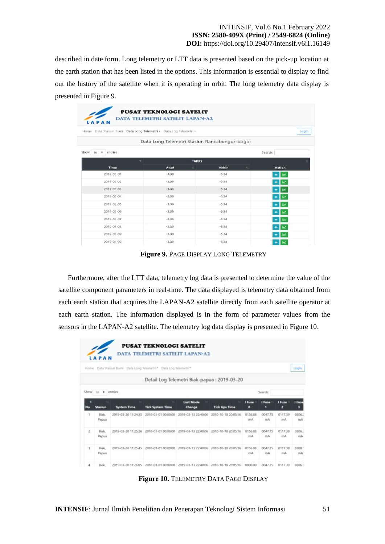described in date form. Long telemetry or LTT data is presented based on the pick-up location at the earth station that has been listed in the options. This information is essential to display to find out the history of the satellite when it is operating in orbit. The long telemetry data display is presented in Figure 9.

| Data Stasiun Bumi Data Long Telemetri - Data Log Telemetri -<br>Home |                                               |              |              |         |                        |
|----------------------------------------------------------------------|-----------------------------------------------|--------------|--------------|---------|------------------------|
|                                                                      | Data Long Telemetri Stasiun Rancabungur-bogor |              |              |         |                        |
| entries<br>Show<br>10<br>$\bullet$                                   |                                               |              |              |         | Search:                |
| $T_{\rm{eff}}$                                                       |                                               | <b>TAPRS</b> |              |         |                        |
| Time                                                                 | Awal                                          | n            | <b>Akhir</b> | $^{+1}$ | <b>Action</b>          |
| 2019-03-01                                                           | $-3.39$                                       |              | $-5.34$      |         | w                      |
| 2019-03-02                                                           | $-3.39$                                       |              | $-5.34$      |         | بما                    |
| 2019-03-03                                                           | $-3.39$                                       |              | $-5,34$      |         | <b>Int</b><br>٠        |
| $2019 - 03 - 04$                                                     | $-3.39$                                       |              | $-5.34$      |         | œ<br>٠                 |
| $2019 - 03 - 05$                                                     | $-3.39$                                       |              | $-5.34$      |         | œ                      |
| 2019-03-06                                                           | $-3.39$                                       |              | $-5.34$      |         | let.<br>٠              |
| 2019-03-07                                                           | $-3.39$                                       |              | $-5.34$      |         | <b>Int</b>             |
| 2019-03-08                                                           | $-3.39$                                       |              | $-5.34$      |         | <b>Let</b>             |
| 2019-03-09                                                           | $-3.39$                                       |              | $-5.34$      |         | جعا<br>۰               |
| $2019 - 04 - 09$                                                     | $-3.39$                                       |              | $-5.34$      |         | let.<br>$\blacksquare$ |

**Figure 9.** PAGE DISPLAY LONG TELEMETRY

Furthermore, after the LTT data, telemetry log data is presented to determine the value of the satellite component parameters in real-time. The data displayed is telemetry data obtained from each earth station that acquires the LAPAN-A2 satellite directly from each satellite operator at each earth station. The information displayed is in the form of parameter values from the sensors in the LAPAN-A2 satellite. The telemetry log data display is presented in Figure 10.

| Home           | LAPAN          | Data Stasiun Bumi Data Long Telemetri * Data Log Telemetri * | <b>PUSAT TEKNOLOGI SATELIT</b><br>DATA TELEMETRI SATELIT LAPAN-A2 |                                 |                                             |               |               |               | Login        |
|----------------|----------------|--------------------------------------------------------------|-------------------------------------------------------------------|---------------------------------|---------------------------------------------|---------------|---------------|---------------|--------------|
|                |                |                                                              |                                                                   |                                 | Detail Log Telemetri Biak-papua: 2019-03-20 |               |               |               |              |
| Show to        | $\ddot{}$      | entries                                                      |                                                                   |                                 |                                             |               | Search        |               |              |
| Mo             | Stasiun        | <b>System Time</b>                                           | <b>Tick System Time</b>                                           | <b>Last Mode</b><br>n<br>Change | <b>Tick Gps Time</b>                        | I Fuse<br>۰   | I Fuse<br>٠   | I Fuse<br>z   | I Fuse<br>в  |
| 1              | Biak<br>Papua  | 2019-03-20 11:24:35                                          | 2010-01-01 00:00:00                                               | 2019-03-13 22:40:06             | 2010-10-18 20:05:16                         | 0156.88<br>mA | 0047.75<br>mA | 0117.39<br>mA | 0306.2<br>mA |
| z              | Biak.<br>Papua | 2019-03-20 11:25:26                                          | 2010-01-01 00:00:00                                               | 2019-03-13 22:40:06             | 2010-10-18 20:05:16                         | 0156.88<br>mA | 0047.75<br>mA | 0117.39<br>mA | 0306.2<br>mA |
| $\overline{3}$ | Biak.<br>Papua | 2019-03-20 11:25:45                                          | 2010-01-01 00:00:00                                               | 2019-03-13 22:40:06             | 2010-10-18 20:05:16                         | 0156.88<br>mA | 0047.75<br>mA | 0117.39<br>mA | 0308.<br>mA  |
| 4              | Biak           | 2019-03-20 11:26:05                                          | 2010-01-01 00:00:00                                               | 2019-03-13 22:40:06             | 2010-10-18 20:05:16                         | 0000.00       | 0047.75       | 0117.39       | 0306.2       |

**Figure 10.** TELEMETRY DATA PAGE DISPLAY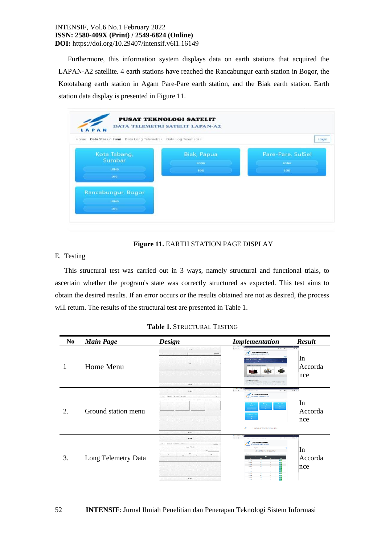Furthermore, this information system displays data on earth stations that acquired the LAPAN-A2 satellite. 4 earth stations have reached the Rancabungur earth station in Bogor, the Kototabang earth station in Agam Pare-Pare earth station, and the Biak earth station. Earth station data display is presented in Figure 11.

| Data Stasiun Bumi Data Long Telemetri =<br>Home. | Data Log Telemetri - | Login             |
|--------------------------------------------------|----------------------|-------------------|
| Kota Tabang,                                     | <b>Biak, Papua</b>   | Pare-Pare, SulSel |
| <b>Sumbar</b>                                    | <b>LONG</b>          | <b>LONG</b>       |
| LONG.                                            | toa                  | toa               |
| LOG.                                             |                      |                   |
| Rancabungur, Bogor                               |                      |                   |
|                                                  |                      |                   |

# **Figure 11.** EARTH STATION PAGE DISPLAY

## E. Testing

This structural test was carried out in 3 ways, namely structural and functional trials, to ascertain whether the program's state was correctly structured as expected. This test aims to obtain the desired results. If an error occurs or the results obtained are not as desired, the process will return. The results of the structural test are presented in Table 1.

| N <sub>0</sub> | <b>Main Page</b>    | <b>Design</b>                                                                              | <b>Implementation</b>                                                                                                                                                                                                                                                                                                                                                                                                                                                                                                                                                                                                                                                                                       | <b>Result</b>                   |
|----------------|---------------------|--------------------------------------------------------------------------------------------|-------------------------------------------------------------------------------------------------------------------------------------------------------------------------------------------------------------------------------------------------------------------------------------------------------------------------------------------------------------------------------------------------------------------------------------------------------------------------------------------------------------------------------------------------------------------------------------------------------------------------------------------------------------------------------------------------------------|---------------------------------|
|                | Home Menu           | States<br>$\sim$<br><b>STORES REMOVE PLATFIEL</b><br>b.<br>Pester                          | (2.9.02)<br>$0.96 - 0.06$<br><b>Links Ave</b><br>$\mathcal{M}$ was unconsiderable<br>WAS IMPOUNDED AND LODGED AT<br><b>TATAS</b><br>tax halos to<br><b>APAN AZ/ORARE</b><br><b>Balafine Mondage and Ret Techno-</b><br>resopheraciones<br>$\mathcal{M}(\mathcal{A})$ and the first form the state and solven the state $\mathcal{A}$ , and the state $\mathcal{A}$ , and the state of the state of the state of the state of the state of the state of the state of the state of the state of<br>a control or by addition to strain for leading                                                                                                                                                             | 7.3.6<br>In<br>Accorda<br>nce   |
|                | Ground station menu | Bradro<br><b>Referred Strategy</b> Stations<br>China 1<br>Force:                           | Comments<br>(12.5)<br>$89 - 57$<br><b>Code Australia</b> con law<br>PULAT TEXYGLOGI SARELIT<br>DANA TELEVITAL LATERTY AREA AL<br><b><i><u>TARAN</u></i></b><br>÷<br><b>And the Wiley of The</b><br><b>Pro Sac Sails</b><br>Bak Lau<br>Surecy<br><b>College</b><br><b>Contract</b><br>Sec.<br>$\sim$<br>atematan dip<br>á.<br>COMMERCE ART ARTISTIC WARROOM AND LODGE                                                                                                                                                                                                                                                                                                                                        | K 9 8 5<br>In<br>Accorda<br>nce |
| 3.             | Long Telemetry Data | Paude:<br>notering workers nonches<br>141.<br>No activities<br>ies.<br>V.<br><b>Engler</b> | <b>Countries</b><br>$(1 + \sigma)$<br>O substitute of complements exceeding, but<br>$A = 5.5$<br><b>PUSAT TEKNOLOGI SATELIT</b><br><b>MAX TERRITO METEOROLOGIC</b><br><b>TERRE</b><br>has before the hid after a hing has<br>College's a colorador de caracter.<br><b>Bullet Law</b><br><b>Sept</b><br>車<br>739<br>п<br>国国<br>×<br><b>GROSS</b><br>$\mathbf{a}$<br>丽<br>asset<br>v.<br><b>HANA</b><br>$\overline{1}$<br>$\mathbf{r}_\mathbf{k}$<br>市区<br>丽<br>63,85<br>×.<br>×<br><b>HAMM</b><br>$\overline{1}$<br>$\mathbf{r}$<br><b>D</b><br>ᇛ<br>20000<br>14<br>$\mathbf{a}$<br>17000<br><b>AB</b><br>$\sigma$<br><b>Value</b><br>v.<br>$\mathcal{L}_{\mathbf{R}}$<br>고려<br>ыл<br><b>ABIAN</b><br>$\sim$ | 的名前の<br>In<br>Accorda<br>nce    |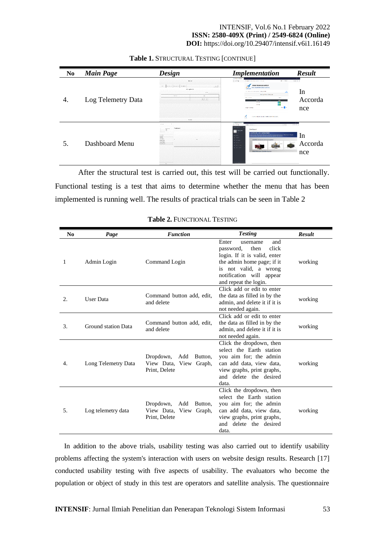| N <sub>0</sub> | <b>Main Page</b>   | <b>Design</b>                                                                                                                                                       | <b>Implementation</b>                                                                                                                                                                                                                                                                                                                                                                                                                                                                                                 | <b>Result</b>                                            |
|----------------|--------------------|---------------------------------------------------------------------------------------------------------------------------------------------------------------------|-----------------------------------------------------------------------------------------------------------------------------------------------------------------------------------------------------------------------------------------------------------------------------------------------------------------------------------------------------------------------------------------------------------------------------------------------------------------------------------------------------------------------|----------------------------------------------------------|
|                | Log Telemetry Data | dealer<br><b>Branch</b> Property <b>Nights</b><br>Dental C<br>new.<br><b>District Constitution</b><br><b>SIN</b><br><b>New York</b><br>$\sim$<br>$\sim$ 10<br>36000 | Changements<br>$+ + 0.6$<br>$8 - 80$<br>The best considered the control of the con-<br>PERMIT TEAMOLOGI BATKLEY<br>TATY TELESEES SYSTEM (SNNA)<br><b>LEFAN</b><br>by Catolol In minor talefare-<br><b>AB</b><br><b>Dealth Mean File adapt</b><br>Tel: 1 E-M<br><b>Serve</b><br>$\overline{a}$<br><b>Section</b><br><b>BR</b><br>$-40.06$<br><b>D</b> <sub>P</sub><br><b>Model</b><br>wa <mark>n</mark> he<br><b>CONTRACTOR</b><br>đ.<br><b>INVESTIGATION CONTINUES INTO A REPORT OF A PERSON WAS</b><br><b>Change</b> | $L \subseteq \mathcal{K}$ .<br>In<br>Accorda<br>nce      |
|                | Dashboard Menu     | COM<br>Continues.<br><b>Northum</b><br>Aug.<br>and a<br>Called and<br>Witness<br>и.<br><b>Industries</b><br><b>Scandidae</b><br><b>MACHINE</b><br>Age 1             | <b>MAGEARET</b><br>$- - 108$<br>Links (mediate)<br>$-24$<br><b>CONTRACTOR</b><br>Davidson()<br><b>Charles</b> Change<br>LAPAN-AZ/ORARI<br>tenniser Africanafolklo jor American Communication, Abertana Prague<br>constanzi era contratamentosa conventore corrector<br>isters.<br><b>Service</b><br>ketalita bizuctara arel buli system<br><b>Motive</b><br>Concert Co.<br><b>Charles</b><br>Concrete<br><b>Multi Miroden, Saletting Auditors</b>                                                                     | <b>C</b><br>$2.0.1 -$<br><sub>In</sub><br>Accorda<br>nce |

#### **Table 1.** STRUCTURAL TESTING [CONTINUE]

After the structural test is carried out, this test will be carried out functionally. Functional testing is a test that aims to determine whether the menu that has been implemented is running well. The results of practical trials can be seen in Table 2

| N <sub>0</sub> | Page                | <b>Function</b>                                                        | <b>Testing</b>                                                                                                                                                                                     | <b>Result</b> |
|----------------|---------------------|------------------------------------------------------------------------|----------------------------------------------------------------------------------------------------------------------------------------------------------------------------------------------------|---------------|
| 1              | Admin Login         | Command Login                                                          | Enter<br>and<br>username<br>click<br>then<br>password,<br>login. If it is valid, enter<br>the admin home page; if it<br>is not valid, a wrong<br>notification will appear<br>and repeat the login. | working       |
| 2.             | User Data           | Command button add, edit,<br>and delete                                | Click add or edit to enter<br>the data as filled in by the<br>admin, and delete it if it is<br>not needed again.                                                                                   | working       |
| 3.             | Ground station Data | Command button add, edit,<br>and delete                                | Click add or edit to enter<br>the data as filled in by the<br>admin, and delete it if it is<br>not needed again.                                                                                   | working       |
| 4.             | Long Telemetry Data | Dropdown,<br>Add Button,<br>View Data, View Graph,<br>Print, Delete    | Click the dropdown, then<br>select the Earth station<br>you aim for; the admin<br>can add data, view data,<br>view graphs, print graphs,<br>and delete the desired<br>data.                        | working       |
| 5.             | Log telemetry data  | Dropdown,<br>Add<br>Button,<br>View Data, View Graph,<br>Print, Delete | Click the dropdown, then<br>select the Earth station<br>you aim for; the admin<br>can add data, view data,<br>view graphs, print graphs,<br>and delete the desired<br>data.                        | working       |

**Table 2.** FUNCTIONAL TESTING

In addition to the above trials, usability testing was also carried out to identify usability problems affecting the system's interaction with users on website design results. Research [17] conducted usability testing with five aspects of usability. The evaluators who become the population or object of study in this test are operators and satellite analysis. The questionnaire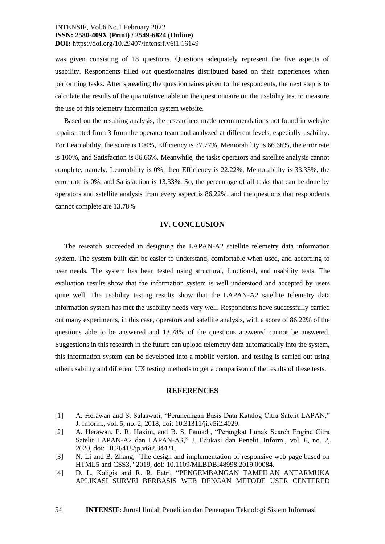was given consisting of 18 questions. Questions adequately represent the five aspects of usability. Respondents filled out questionnaires distributed based on their experiences when performing tasks. After spreading the questionnaires given to the respondents, the next step is to calculate the results of the quantitative table on the questionnaire on the usability test to measure the use of this telemetry information system website.

Based on the resulting analysis, the researchers made recommendations not found in website repairs rated from 3 from the operator team and analyzed at different levels, especially usability. For Learnability, the score is 100%, Efficiency is 77.77%, Memorability is 66.66%, the error rate is 100%, and Satisfaction is 86.66%. Meanwhile, the tasks operators and satellite analysis cannot complete; namely, Learnability is 0%, then Efficiency is 22.22%, Memorability is 33.33%, the error rate is 0%, and Satisfaction is 13.33%. So, the percentage of all tasks that can be done by operators and satellite analysis from every aspect is 86.22%, and the questions that respondents cannot complete are 13.78%.

#### **IV. CONCLUSION**

The research succeeded in designing the LAPAN-A2 satellite telemetry data information system. The system built can be easier to understand, comfortable when used, and according to user needs. The system has been tested using structural, functional, and usability tests. The evaluation results show that the information system is well understood and accepted by users quite well. The usability testing results show that the LAPAN-A2 satellite telemetry data information system has met the usability needs very well. Respondents have successfully carried out many experiments, in this case, operators and satellite analysis, with a score of 86.22% of the questions able to be answered and 13.78% of the questions answered cannot be answered. Suggestions in this research in the future can upload telemetry data automatically into the system, this information system can be developed into a mobile version, and testing is carried out using other usability and different UX testing methods to get a comparison of the results of these tests.

#### **REFERENCES**

- [1] A. Herawan and S. Salaswati, "Perancangan Basis Data Katalog Citra Satelit LAPAN," J. Inform., vol. 5, no. 2, 2018, doi: 10.31311/ji.v5i2.4029.
- [2] A. Herawan, P. R. Hakim, and B. S. Pamadi, "Perangkat Lunak Search Engine Citra Satelit LAPAN-A2 dan LAPAN-A3," J. Edukasi dan Penelit. Inform., vol. 6, no. 2, 2020, doi: 10.26418/jp.v6i2.34421.
- [3] N. Li and B. Zhang, "The design and implementation of responsive web page based on HTML5 and CSS3," 2019, doi: 10.1109/MLBDBI48998.2019.00084.
- [4] D. L. Kaligis and R. R. Fatri, "PENGEMBANGAN TAMPILAN ANTARMUKA APLIKASI SURVEI BERBASIS WEB DENGAN METODE USER CENTERED